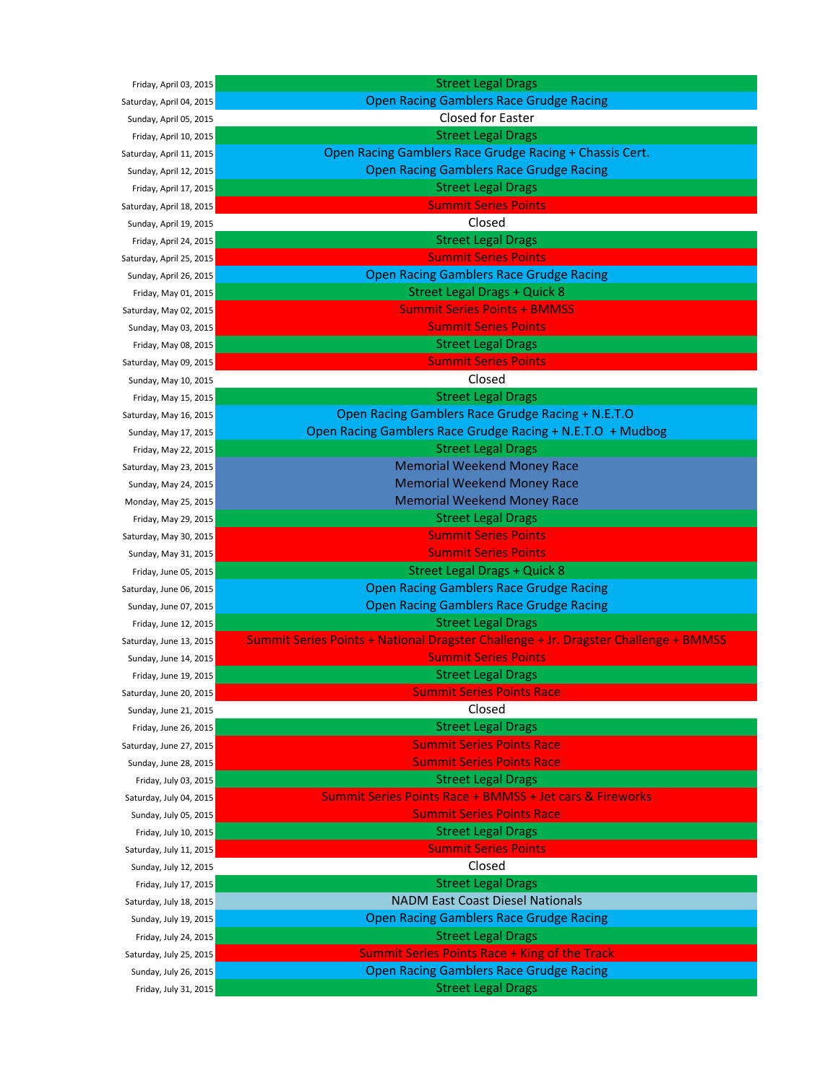Friday, April 03, 2015 Saturday, April 04, 2015 Sunday, April 05, 2015 Friday, April 10, 2015 Saturday, April 11, 2015 Sunday, April 12, 2015 Friday, April 17, 2015 Saturday, April 18, 2015 Sunday, April 19, 2015 Friday, April 24, 2015 Saturday, April 25, 2015 Sunday, April 26, 2015 Friday, May 01, 2015 Saturday, May 02, 2015 Sunday, May 03, 2015 Friday, May 08, 2015 Saturday, May 09, 2015 Sunday, May 10, 2015 Friday, May 15, 2015 Saturday, May 16, 2015 Sunday, May 17, 2015 Friday, May 22, 2015 Saturday, May 23, 2015 Sunday, May 24, 2015 Monday, May 25, 2015 Friday, May 29, 2015 Saturday, May 30, 2015 Sunday, May 31, 2015 Friday, June 05, 2015 Saturday, June 06, 2015 Sunday, June 07, 2015 Friday, June 12, 2015 Saturday, June 13, 2015 Sunday, June 14, 2015 Friday, June 19, 2015 Saturday, June 20, 2015 Sunday, June 21, 2015 Friday, June 26, 2015 Saturday, June 27, 2015 Sunday, June 28, 2015 Friday, July 03, 2015 Saturday, July 04, 2015 Sunday, July 05, 2015 Friday, July 10, 2015 Saturday, July 11, 2015 Sunday, July 12, 2015 Friday, July 17, 2015 Saturday, July 18, 2015 Sunday, July 19, 2015 Friday, July 24, 2015 Saturday, July 25, 2015 Sunday, July 26, 2015 Friday, July 31, 2015

| <b>Street Legal Drags</b>                                                           |
|-------------------------------------------------------------------------------------|
| <b>Open Racing Gamblers Race Grudge Racing</b>                                      |
| Closed for Easter                                                                   |
| <b>Street Legal Drags</b>                                                           |
| Open Racing Gamblers Race Grudge Racing + Chassis Cert.                             |
| <b>Open Racing Gamblers Race Grudge Racing</b>                                      |
| <b>Street Legal Drags</b>                                                           |
| <b>Summit Series Points</b>                                                         |
| Closed                                                                              |
| <b>Street Legal Drags</b>                                                           |
| <b>Summit Series Points</b>                                                         |
| <b>Open Racing Gamblers Race Grudge Racing</b>                                      |
| <b>Street Legal Drags + Quick 8</b>                                                 |
| <b>Summit Series Points + BMMSS</b>                                                 |
| <b>Summit Series Points</b>                                                         |
| <b>Street Legal Drags</b>                                                           |
| <b>Summit Series Points</b>                                                         |
| Closed                                                                              |
| <b>Street Legal Drags</b>                                                           |
| Open Racing Gamblers Race Grudge Racing + N.E.T.O                                   |
| Open Racing Gamblers Race Grudge Racing + N.E.T.O + Mudbog                          |
| <b>Street Legal Drags</b>                                                           |
| <b>Memorial Weekend Money Race</b>                                                  |
| <b>Memorial Weekend Money Race</b>                                                  |
| <b>Memorial Weekend Money Race</b>                                                  |
|                                                                                     |
| <b>Street Legal Drags</b><br><b>Summit Series Points</b>                            |
|                                                                                     |
| <b>Summit Series Points</b>                                                         |
| <b>Street Legal Drags + Quick 8</b>                                                 |
| <b>Open Racing Gamblers Race Grudge Racing</b>                                      |
| <b>Open Racing Gamblers Race Grudge Racing</b>                                      |
| <b>Street Legal Drags</b>                                                           |
| Summit Series Points + National Dragster Challenge + Jr. Dragster Challenge + BMMSS |
| <b>Summit Series Points</b>                                                         |
| <b>Street Legal Drags</b>                                                           |
| <b>Summit Series Points Race</b>                                                    |
| Closed                                                                              |
| <b>Street Legal Drags</b>                                                           |
| <b>Summit Series Points Race</b>                                                    |
| <b>Summit Series Points Race</b>                                                    |
| <b>Street Legal Drags</b>                                                           |
| Summit Series Points Race + BMMSS + Jet cars & Fireworks                            |
| <b>Summit Series Points Race</b>                                                    |
| <b>Street Legal Drags</b>                                                           |
| <b>Summit Series Points</b>                                                         |
| Closed                                                                              |
| <b>Street Legal Drags</b>                                                           |
| <b>NADM East Coast Diesel Nationals</b>                                             |
| <b>Open Racing Gamblers Race Grudge Racing</b>                                      |
| <b>Street Legal Drags</b>                                                           |
| <b>Summit Series Points Race + King of the Track</b>                                |
| <b>Open Racing Gamblers Race Grudge Racing</b>                                      |
| <b>Street Legal Drags</b>                                                           |
|                                                                                     |